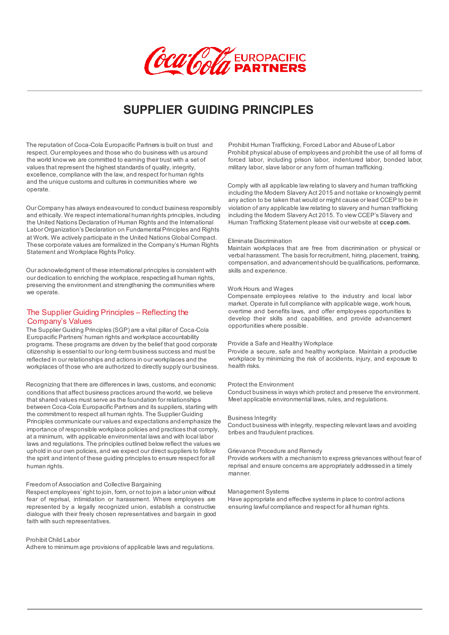

# **SUPPLIER GUIDING PRINCIPLES**

The reputation of Coca-Cola Europacific Partners is built on trust and respect. Our employees and those who do business with us around the world know we are committed to earning their trust with a set of values that represent the highest standards of quality, integrity, excellence, compliance with the law, and respect for human rights and the unique customs and cultures in communities where we operate.

Our Company has always endeavoured to conduct business responsibly and ethically. We respect international human rights principles, including the United Nations Declaration of Human Rights and the International Labor Organization's Declaration on Fundamental Principles and Rights at Work. We actively participate in the United Nations Global Compact. These corporate values are formalized in the Company's Human Rights Statement and Workplace Rights Policy.

Our acknowledgment of these international principles is consistent with our dedication to enriching the workplace, respecting all human rights preserving the environment and strengthening the communities where we operate.

# The Supplier Guiding Principles – Reflecting the Company's Values

The Supplier Guiding Principles (SGP) are a vital pillar of Coca-Cola Europacific Partners' human rights and workplace accountability programs. These programs are driven by the belief that good corporate citizenship is essential to our long-term business success and must be reflected in our relationships and actions in our workplaces and the workplaces of those who are authorized to directly supply our business.

Recognizing that there are differences in laws, customs, and economic conditions that affect business practices around the world, we believe that shared values must serve as the foundation for relationships between Coca-Cola Europacific Partners and its suppliers, starting with the commitment to respect all human rights. The Supplier Guiding Principles communicate our values and expectations and emphasize the importance of responsible workplace policies and practices that comply, at a minimum, with applicable environmental laws and with local labor laws and regulations. The principles outlined below reflect the values we uphold in our own policies, and we expect our direct suppliers to follow the spirit and intent of these guiding principles to ensure respect for all human rights.

### Freedom of Association and Collective Bargaining

Respect employees' right to join, form, or not to join a labor union without fear of reprisal, intimidation or harassment. Where employees are represented by a legally recognized union, establish a constructive dialogue with their freely chosen representatives and bargain in good faith with such representatives.

## Prohibit Child Labor

Adhere to minimum age provisions of applicable laws and regulations.

Prohibit Human Trafficking, Forced Labor and Abuse of Labor Prohibit physical abuse of employees and prohibit the use of all forms of forced labor, including prison labor, indentured labor, bonded labor, military labor, slave labor or any form of human trafficking.

Comply with all applicable law relating to slavery and human trafficking including the Modern Slavery Act 2015 and not take or knowingly permit any action to be taken that would or might cause or lead CCEP to be in violation of any applicable law relating to slavery and human trafficking including the Modern Slavery Act 2015. To view CCEP's Slavery and Human Trafficking Statement please visit our website at **ccep.com.** 

#### Eliminate Discrimination

Maintain workplaces that are free from discrimination or physical or verbal harassment. The basis for recruitment, hiring, placement, training, compensation, and advancement should be qualifications, performance, skills and experience.

#### Work Hours and Wages

Compensate employees relative to the industry and local labor market. Operate in full compliance with applicable wage, work hours, overtime and benefits laws, and offer employees opportunities to develop their skills and capabilities, and provide advancement opportunities where possible.

#### Provide a Safe and Healthy Workplace

Provide a secure, safe and healthy workplace. Maintain a productive workplace by minimizing the risk of accidents, injury, and exposure to health risks.

### Protect the Environment

Conduct business in ways which protect and preserve the environment. Meet applicable environmental laws, rules, and regulations.

#### Business Integrity

Conduct business with integrity, respecting relevant laws and avoiding bribes and fraudulent practices.

## Grievance Procedure and Remedy

Provide workers with a mechanism to express grievances without fear of reprisal and ensure concerns are appropriately addressed in a timely manner.

## Management Systems

Have appropriate and effective systems in place to control actions ensuring lawful compliance and respect for all human rights.